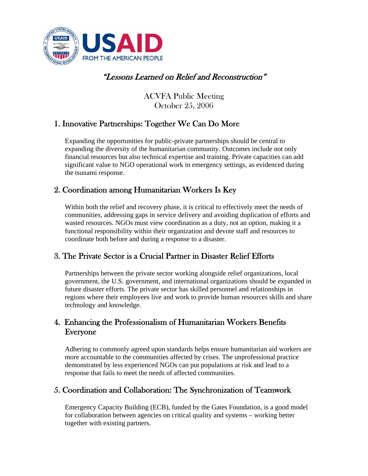

# "Lessons Learned on Relief and Reconstruction"

ACVFA Public Meeting October 25, 2006

## 1. Innovative Partnerships: Together We Can Do More

Expanding the opportunities for public-private partnerships should be central to expanding the diversity of the humanitarian community. Outcomes include not only financial resources but also technical expertise and training. Private capacities can add significant value to NGO operational work in emergency settings, as evidenced during the tsunami response.

## 2. Coordination among Humanitarian Workers Is Key

Within both the relief and recovery phase, it is critical to effectively meet the needs of communities, addressing gaps in service delivery and avoiding duplication of efforts and wasted resources. NGOs must view coordination as a duty, not an option, making it a functional responsibility within their organization and devote staff and resources to coordinate both before and during a response to a disaster.

## 3. The Private Sector is a Crucial Partner in Disaster Relief Efforts

Partnerships between the private sector working alongside relief organizations, local government, the U.S. government, and international organizations should be expanded in future disaster efforts. The private sector has skilled personnel and relationships in regions where their employees live and work to provide human resources skills and share technology and knowledge.

### 4. Enhancing the Professionalism of Humanitarian Workers Benefits Everyone

Adhering to commonly agreed upon standards helps ensure humanitarian aid workers are more accountable to the communities affected by crises. The unprofessional practice demonstrated by less experienced NGOs can put populations at risk and lead to a response that fails to meet the needs of affected communities.

## 5. Coordination and Collaboration: The Synchronization of Teamwork

Emergency Capacity Building (ECB), funded by the Gates Foundation, is a good model for collaboration between agencies on critical quality and systems – working better together with existing partners.